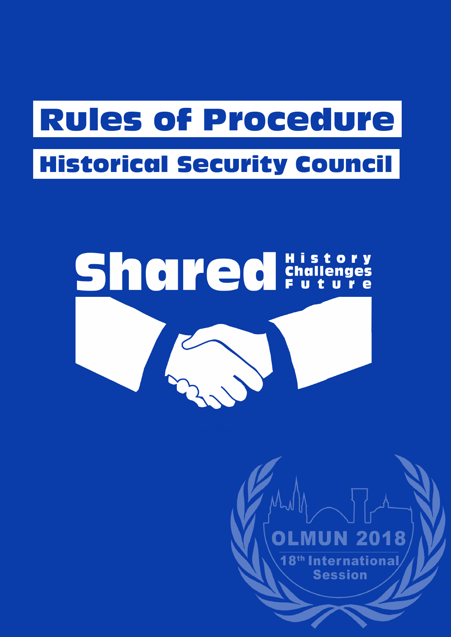# Rules of Procedure Historical Security Council

# Shalled Engineers

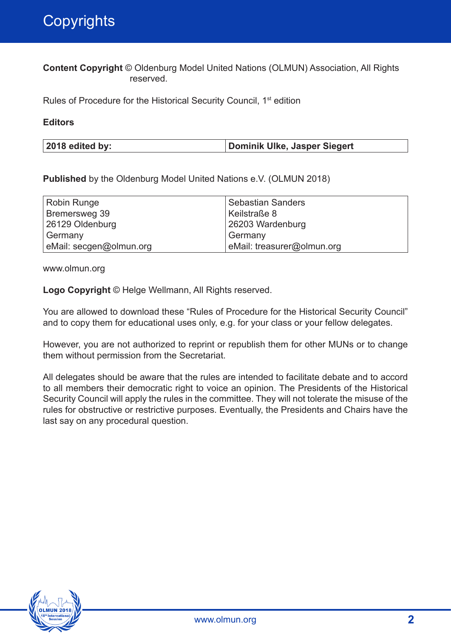**Content Copyright** © Oldenburg Model United Nations (OLMUN) Association, All Rights reserved.

Rules of Procedure for the Historical Security Council, 1st edition

#### **Editors**

| 2018 edited by: | Dominik Ulke, Jasper Siegert |
|-----------------|------------------------------|
|                 |                              |

**Published** by the Oldenburg Model United Nations e.V. (OLMUN 2018)

| <b>Robin Runge</b>      | Sebastian Sanders          |
|-------------------------|----------------------------|
| Bremersweg 39           | Keilstraße 8               |
| 26129 Oldenburg         | 26203 Wardenburg           |
| Germany                 | Germany                    |
| eMail: secgen@olmun.org | eMail: treasurer@olmun.org |

www.olmun.org

**Logo Copyright** © Helge Wellmann, All Rights reserved.

You are allowed to download these "Rules of Procedure for the Historical Security Council" and to copy them for educational uses only, e.g. for your class or your fellow delegates.

However, you are not authorized to reprint or republish them for other MUNs or to change them without permission from the Secretariat.

All delegates should be aware that the rules are intended to facilitate debate and to accord to all members their democratic right to voice an opinion. The Presidents of the Historical Security Council will apply the rules in the committee. They will not tolerate the misuse of the rules for obstructive or restrictive purposes. Eventually, the Presidents and Chairs have the last say on any procedural question.

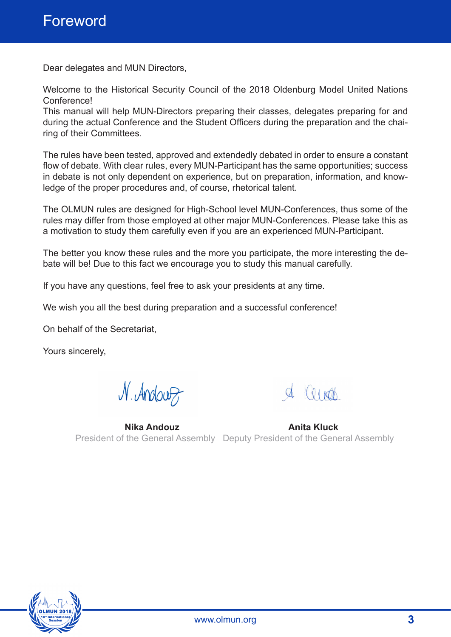Dear delegates and MUN Directors,

Welcome to the Historical Security Council of the 2018 Oldenburg Model United Nations Conference!

This manual will help MUN-Directors preparing their classes, delegates preparing for and during the actual Conference and the Student Officers during the preparation and the chairing of their Committees.

The rules have been tested, approved and extendedly debated in order to ensure a constant flow of debate. With clear rules, every MUN-Participant has the same opportunities; success in debate is not only dependent on experience, but on preparation, information, and knowledge of the proper procedures and, of course, rhetorical talent.

The OLMUN rules are designed for High-School level MUN-Conferences, thus some of the rules may differ from those employed at other major MUN-Conferences. Please take this as a motivation to study them carefully even if you are an experienced MUN-Participant.

The better you know these rules and the more you participate, the more interesting the debate will be! Due to this fact we encourage you to study this manual carefully.

If you have any questions, feel free to ask your presidents at any time.

We wish you all the best during preparation and a successful conference!

On behalf of the Secretariat,

Yours sincerely,

N. Andouz

 $Q \cup \left( Q \right)$ 

**Nika Andouz Anita Kluck** President of the General Assembly Deputy President of the General Assembly

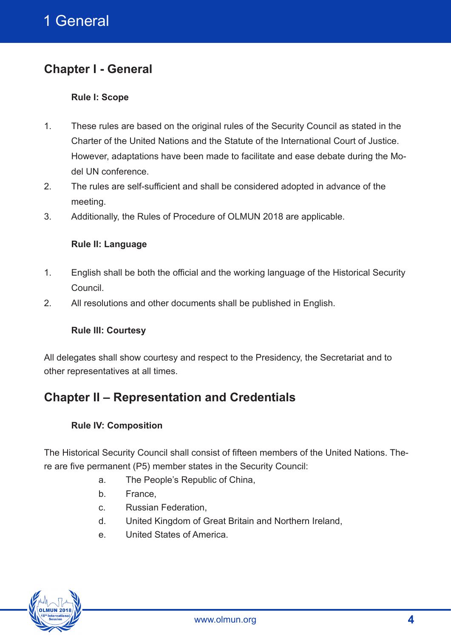# **Chapter I - General**

#### **Rule I: Scope**

- 1. These rules are based on the original rules of the Security Council as stated in the Charter of the United Nations and the Statute of the International Court of Justice. However, adaptations have been made to facilitate and ease debate during the Model UN conference.
- 2. The rules are self-sufficient and shall be considered adopted in advance of the meeting.
- 3. Additionally, the Rules of Procedure of OLMUN 2018 are applicable.

#### **Rule II: Language**

- 1. English shall be both the official and the working language of the Historical Security Council.
- 2. All resolutions and other documents shall be published in English.

#### **Rule III: Courtesy**

All delegates shall show courtesy and respect to the Presidency, the Secretariat and to other representatives at all times.

# **Chapter II – Representation and Credentials**

#### **Rule IV: Composition**

The Historical Security Council shall consist of fifteen members of the United Nations. There are five permanent (P5) member states in the Security Council:

- a. The People's Republic of China,
- b. France,
- c. Russian Federation,
- d. United Kingdom of Great Britain and Northern Ireland,
- e. United States of America.

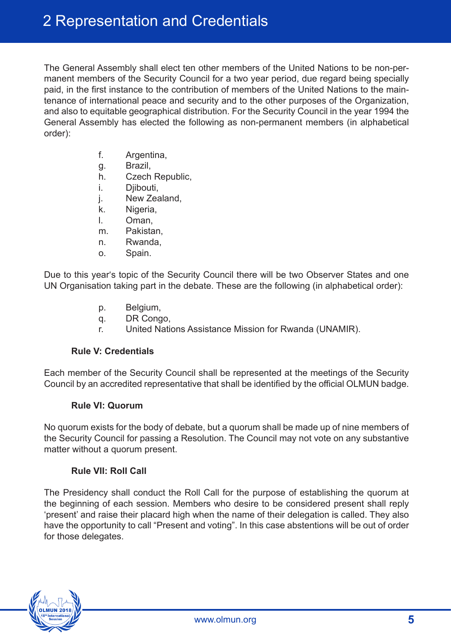The General Assembly shall elect ten other members of the United Nations to be non-permanent members of the Security Council for a two year period, due regard being specially paid, in the first instance to the contribution of members of the United Nations to the maintenance of international peace and security and to the other purposes of the Organization, and also to equitable geographical distribution. For the Security Council in the year 1994 the General Assembly has elected the following as non-permanent members (in alphabetical order):

- f. Argentina,
- g. Brazil,
- h. Czech Republic,
- i. Djibouti,
- j. New Zealand,
- k. Nigeria,
- l. Oman,
- m. Pakistan,
- n. Rwanda,
- o. Spain.

Due to this year's topic of the Security Council there will be two Observer States and one UN Organisation taking part in the debate. These are the following (in alphabetical order):

- p. Belgium,
- q. DR Congo,
- r. United Nations Assistance Mission for Rwanda (UNAMIR).

#### **Rule V: Credentials**

Each member of the Security Council shall be represented at the meetings of the Security Council by an accredited representative that shall be identified by the official OLMUN badge.

#### **Rule VI: Quorum**

No quorum exists for the body of debate, but a quorum shall be made up of nine members of the Security Council for passing a Resolution. The Council may not vote on any substantive matter without a quorum present.

#### **Rule VII: Roll Call**

The Presidency shall conduct the Roll Call for the purpose of establishing the quorum at the beginning of each session. Members who desire to be considered present shall reply 'present' and raise their placard high when the name of their delegation is called. They also have the opportunity to call "Present and voting". In this case abstentions will be out of order for those delegates.

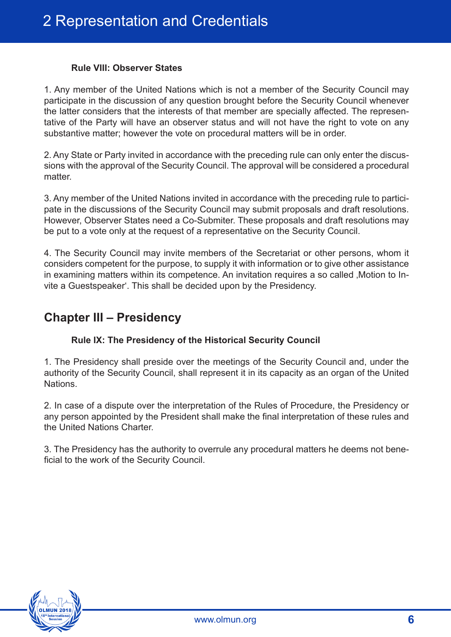#### **Rule VIII: Observer States**

1. Any member of the United Nations which is not a member of the Security Council may participate in the discussion of any question brought before the Security Council whenever the latter considers that the interests of that member are specially affected. The representative of the Party will have an observer status and will not have the right to vote on any substantive matter; however the vote on procedural matters will be in order.

2. Any State or Party invited in accordance with the preceding rule can only enter the discussions with the approval of the Security Council. The approval will be considered a procedural matter

3. Any member of the United Nations invited in accordance with the preceding rule to participate in the discussions of the Security Council may submit proposals and draft resolutions. However, Observer States need a Co-Submiter. These proposals and draft resolutions may be put to a vote only at the request of a representative on the Security Council.

4. The Security Council may invite members of the Secretariat or other persons, whom it considers competent for the purpose, to supply it with information or to give other assistance in examining matters within its competence. An invitation requires a so called Motion to Invite a Guestspeaker'. This shall be decided upon by the Presidency.

### **Chapter III – Presidency**

#### **Rule IX: The Presidency of the Historical Security Council**

1. The Presidency shall preside over the meetings of the Security Council and, under the authority of the Security Council, shall represent it in its capacity as an organ of the United Nations.

2. In case of a dispute over the interpretation of the Rules of Procedure, the Presidency or any person appointed by the President shall make the final interpretation of these rules and the United Nations Charter.

3. The Presidency has the authority to overrule any procedural matters he deems not beneficial to the work of the Security Council.

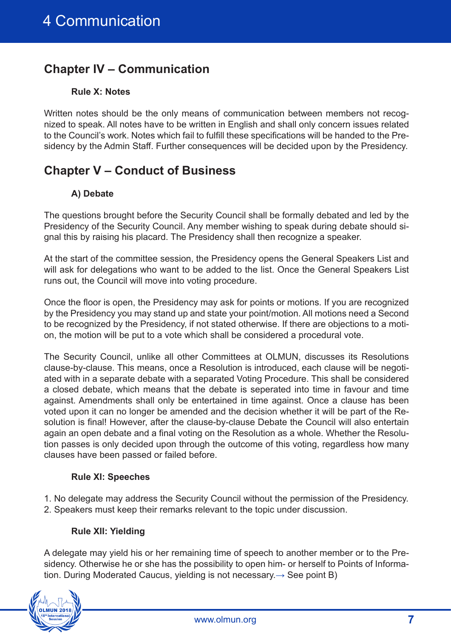# **Chapter IV – Communication**

#### **Rule X: Notes**

Written notes should be the only means of communication between members not recognized to speak. All notes have to be written in English and shall only concern issues related to the Council's work. Notes which fail to fulfill these specifications will be handed to the Presidency by the Admin Staff. Further consequences will be decided upon by the Presidency.

# **Chapter V – Conduct of Business**

#### **A) Debate**

The questions brought before the Security Council shall be formally debated and led by the Presidency of the Security Council. Any member wishing to speak during debate should signal this by raising his placard. The Presidency shall then recognize a speaker.

At the start of the committee session, the Presidency opens the General Speakers List and will ask for delegations who want to be added to the list. Once the General Speakers List runs out, the Council will move into voting procedure.

Once the floor is open, the Presidency may ask for points or motions. If you are recognized by the Presidency you may stand up and state your point/motion. All motions need a Second to be recognized by the Presidency, if not stated otherwise. If there are objections to a motion, the motion will be put to a vote which shall be considered a procedural vote.

The Security Council, unlike all other Committees at OLMUN, discusses its Resolutions clause-by-clause. This means, once a Resolution is introduced, each clause will be negotiated with in a separate debate with a separated Voting Procedure. This shall be considered a closed debate, which means that the debate is seperated into time in favour and time against. Amendments shall only be entertained in time against. Once a clause has been voted upon it can no longer be amended and the decision whether it will be part of the Resolution is final! However, after the clause-by-clause Debate the Council will also entertain again an open debate and a final voting on the Resolution as a whole. Whether the Resolution passes is only decided upon through the outcome of this voting, regardless how many clauses have been passed or failed before.

#### **Rule XI: Speeches**

1. No delegate may address the Security Council without the permission of the Presidency. 2. Speakers must keep their remarks relevant to the topic under discussion.

#### **Rule XII: Yielding**

A delegate may yield his or her remaining time of speech to another member or to the Presidency. Otherwise he or she has the possibility to open him- or herself to Points of Information. During Moderated Caucus, yielding is not necessary. $\rightarrow$  See point B)

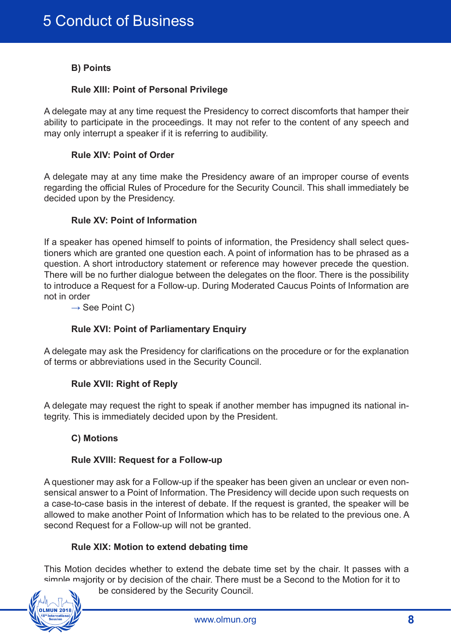#### **B) Points**

#### **Rule XIII: Point of Personal Privilege**

A delegate may at any time request the Presidency to correct discomforts that hamper their ability to participate in the proceedings. It may not refer to the content of any speech and may only interrupt a speaker if it is referring to audibility.

#### **Rule XIV: Point of Order**

A delegate may at any time make the Presidency aware of an improper course of events regarding the official Rules of Procedure for the Security Council. This shall immediately be decided upon by the Presidency.

#### **Rule XV: Point of Information**

If a speaker has opened himself to points of information, the Presidency shall select questioners which are granted one question each. A point of information has to be phrased as a question. A short introductory statement or reference may however precede the question. There will be no further dialogue between the delegates on the floor. There is the possibility to introduce a Request for a Follow-up. During Moderated Caucus Points of Information are not in order

 $\rightarrow$  See Point C)

#### **Rule XVI: Point of Parliamentary Enquiry**

A delegate may ask the Presidency for clarifications on the procedure or for the explanation of terms or abbreviations used in the Security Council.

#### **Rule XVII: Right of Reply**

A delegate may request the right to speak if another member has impugned its national integrity. This is immediately decided upon by the President.

#### **C) Motions**

#### **Rule XVIII: Request for a Follow-up**

A questioner may ask for a Follow-up if the speaker has been given an unclear or even nonsensical answer to a Point of Information. The Presidency will decide upon such requests on a case-to-case basis in the interest of debate. If the request is granted, the speaker will be allowed to make another Point of Information which has to be related to the previous one. A second Request for a Follow-up will not be granted.

#### **Rule XIX: Motion to extend debating time**

This Motion decides whether to extend the debate time set by the chair. It passes with a simple majority or by decision of the chair. There must be a Second to the Motion for it to



be considered by the Security Council.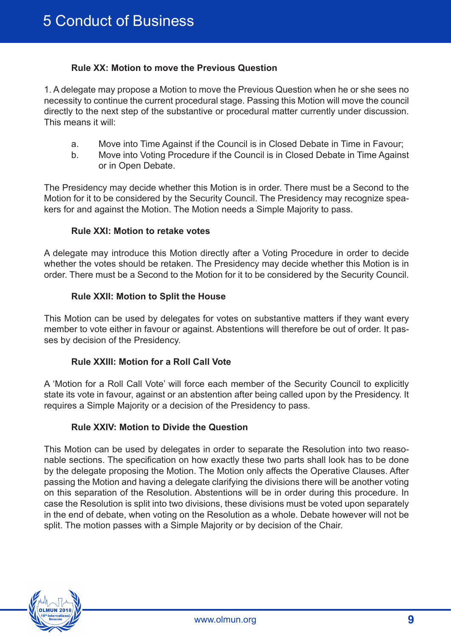#### **Rule XX: Motion to move the Previous Question**

1. A delegate may propose a Motion to move the Previous Question when he or she sees no necessity to continue the current procedural stage. Passing this Motion will move the council directly to the next step of the substantive or procedural matter currently under discussion. This means it will:

- a. Move into Time Against if the Council is in Closed Debate in Time in Favour;
- b. Move into Voting Procedure if the Council is in Closed Debate in Time Against or in Open Debate.

The Presidency may decide whether this Motion is in order. There must be a Second to the Motion for it to be considered by the Security Council. The Presidency may recognize speakers for and against the Motion. The Motion needs a Simple Majority to pass.

#### **Rule XXI: Motion to retake votes**

A delegate may introduce this Motion directly after a Voting Procedure in order to decide whether the votes should be retaken. The Presidency may decide whether this Motion is in order. There must be a Second to the Motion for it to be considered by the Security Council.

#### **Rule XXII: Motion to Split the House**

This Motion can be used by delegates for votes on substantive matters if they want every member to vote either in favour or against. Abstentions will therefore be out of order. It passes by decision of the Presidency.

#### **Rule XXIII: Motion for a Roll Call Vote**

A 'Motion for a Roll Call Vote' will force each member of the Security Council to explicitly state its vote in favour, against or an abstention after being called upon by the Presidency. It requires a Simple Majority or a decision of the Presidency to pass.

#### **Rule XXIV: Motion to Divide the Question**

This Motion can be used by delegates in order to separate the Resolution into two reasonable sections. The specification on how exactly these two parts shall look has to be done by the delegate proposing the Motion. The Motion only affects the Operative Clauses. After passing the Motion and having a delegate clarifying the divisions there will be another voting on this separation of the Resolution. Abstentions will be in order during this procedure. In case the Resolution is split into two divisions, these divisions must be voted upon separately in the end of debate, when voting on the Resolution as a whole. Debate however will not be split. The motion passes with a Simple Majority or by decision of the Chair.

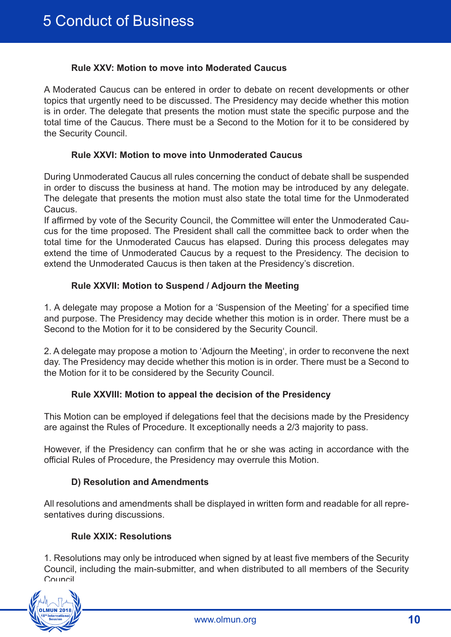#### **Rule XXV: Motion to move into Moderated Caucus**

A Moderated Caucus can be entered in order to debate on recent developments or other topics that urgently need to be discussed. The Presidency may decide whether this motion is in order. The delegate that presents the motion must state the specific purpose and the total time of the Caucus. There must be a Second to the Motion for it to be considered by the Security Council.

#### **Rule XXVI: Motion to move into Unmoderated Caucus**

During Unmoderated Caucus all rules concerning the conduct of debate shall be suspended in order to discuss the business at hand. The motion may be introduced by any delegate. The delegate that presents the motion must also state the total time for the Unmoderated Caucus.

If affirmed by vote of the Security Council, the Committee will enter the Unmoderated Caucus for the time proposed. The President shall call the committee back to order when the total time for the Unmoderated Caucus has elapsed. During this process delegates may extend the time of Unmoderated Caucus by a request to the Presidency. The decision to extend the Unmoderated Caucus is then taken at the Presidency's discretion.

#### **Rule XXVII: Motion to Suspend / Adjourn the Meeting**

1. A delegate may propose a Motion for a 'Suspension of the Meeting' for a specified time and purpose. The Presidency may decide whether this motion is in order. There must be a Second to the Motion for it to be considered by the Security Council.

2. A delegate may propose a motion to 'Adjourn the Meeting', in order to reconvene the next day. The Presidency may decide whether this motion is in order. There must be a Second to the Motion for it to be considered by the Security Council.

#### **Rule XXVIII: Motion to appeal the decision of the Presidency**

This Motion can be employed if delegations feel that the decisions made by the Presidency are against the Rules of Procedure. It exceptionally needs a 2/3 majority to pass.

However, if the Presidency can confirm that he or she was acting in accordance with the official Rules of Procedure, the Presidency may overrule this Motion.

#### **D) Resolution and Amendments**

All resolutions and amendments shall be displayed in written form and readable for all representatives during discussions.

#### **Rule XXIX: Resolutions**

1. Resolutions may only be introduced when signed by at least five members of the Security Council, including the main-submitter, and when distributed to all members of the Security Council.

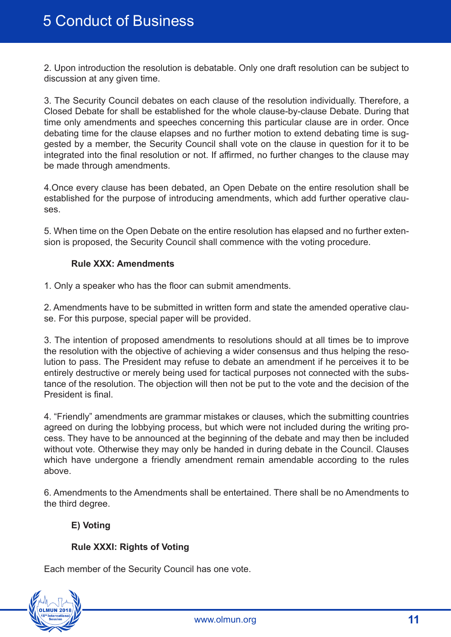2. Upon introduction the resolution is debatable. Only one draft resolution can be subject to discussion at any given time.

3. The Security Council debates on each clause of the resolution individually. Therefore, a Closed Debate for shall be established for the whole clause-by-clause Debate. During that time only amendments and speeches concerning this particular clause are in order. Once debating time for the clause elapses and no further motion to extend debating time is suggested by a member, the Security Council shall vote on the clause in question for it to be integrated into the final resolution or not. If affirmed, no further changes to the clause may be made through amendments.

4.Once every clause has been debated, an Open Debate on the entire resolution shall be established for the purpose of introducing amendments, which add further operative clauses.

5. When time on the Open Debate on the entire resolution has elapsed and no further extension is proposed, the Security Council shall commence with the voting procedure.

#### **Rule XXX: Amendments**

1. Only a speaker who has the floor can submit amendments.

2. Amendments have to be submitted in written form and state the amended operative clause. For this purpose, special paper will be provided.

3. The intention of proposed amendments to resolutions should at all times be to improve the resolution with the objective of achieving a wider consensus and thus helping the resolution to pass. The President may refuse to debate an amendment if he perceives it to be entirely destructive or merely being used for tactical purposes not connected with the substance of the resolution. The objection will then not be put to the vote and the decision of the President is final.

4. "Friendly" amendments are grammar mistakes or clauses, which the submitting countries agreed on during the lobbying process, but which were not included during the writing process. They have to be announced at the beginning of the debate and may then be included without vote. Otherwise they may only be handed in during debate in the Council. Clauses which have undergone a friendly amendment remain amendable according to the rules above.

6. Amendments to the Amendments shall be entertained. There shall be no Amendments to the third degree.

#### **E) Voting**

#### **Rule XXXI: Rights of Voting**

Each member of the Security Council has one vote.

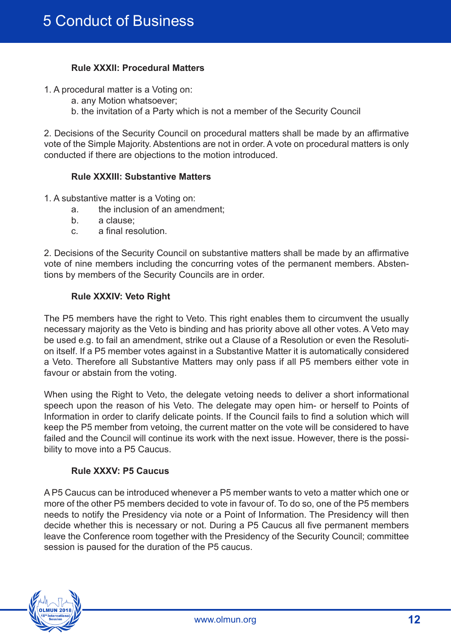#### **Rule XXXII: Procedural Matters**

- 1. A procedural matter is a Voting on:
	- a. any Motion whatsoever;
	- b. the invitation of a Party which is not a member of the Security Council

2. Decisions of the Security Council on procedural matters shall be made by an affirmative vote of the Simple Majority. Abstentions are not in order. A vote on procedural matters is only conducted if there are objections to the motion introduced.

#### **Rule XXXIII: Substantive Matters**

- 1. A substantive matter is a Voting on:
	- a. the inclusion of an amendment;
	- b. a clause;
	- c. a final resolution.

2. Decisions of the Security Council on substantive matters shall be made by an affirmative vote of nine members including the concurring votes of the permanent members. Abstentions by members of the Security Councils are in order.

#### **Rule XXXIV: Veto Right**

The P5 members have the right to Veto. This right enables them to circumvent the usually necessary majority as the Veto is binding and has priority above all other votes. A Veto may be used e.g. to fail an amendment, strike out a Clause of a Resolution or even the Resolution itself. If a P5 member votes against in a Substantive Matter it is automatically considered a Veto. Therefore all Substantive Matters may only pass if all P5 members either vote in favour or abstain from the voting.

When using the Right to Veto, the delegate vetoing needs to deliver a short informational speech upon the reason of his Veto. The delegate may open him- or herself to Points of Information in order to clarify delicate points. If the Council fails to find a solution which will keep the P5 member from vetoing, the current matter on the vote will be considered to have failed and the Council will continue its work with the next issue. However, there is the possibility to move into a P5 Caucus.

#### **Rule XXXV: P5 Caucus**

A P5 Caucus can be introduced whenever a P5 member wants to veto a matter which one or more of the other P5 members decided to vote in favour of. To do so, one of the P5 members needs to notify the Presidency via note or a Point of Information. The Presidency will then decide whether this is necessary or not. During a P5 Caucus all five permanent members leave the Conference room together with the Presidency of the Security Council; committee session is paused for the duration of the P5 caucus.

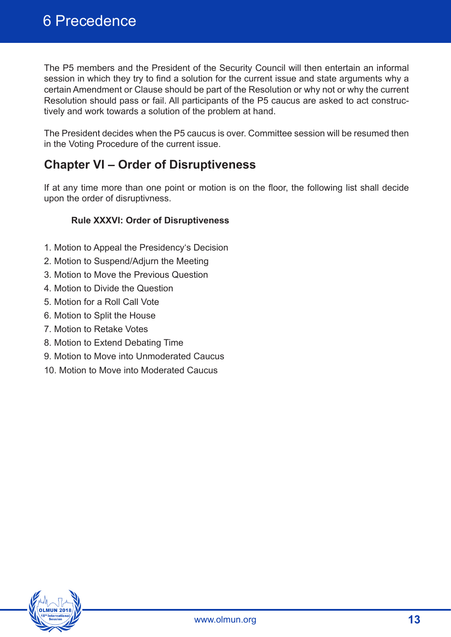The P5 members and the President of the Security Council will then entertain an informal session in which they try to find a solution for the current issue and state arguments why a certain Amendment or Clause should be part of the Resolution or why not or why the current Resolution should pass or fail. All participants of the P5 caucus are asked to act constructively and work towards a solution of the problem at hand.

The President decides when the P5 caucus is over. Committee session will be resumed then in the Voting Procedure of the current issue.

# **Chapter VI – Order of Disruptiveness**

If at any time more than one point or motion is on the floor, the following list shall decide upon the order of disruptivness.

#### **Rule XXXVI: Order of Disruptiveness**

- 1. Motion to Appeal the Presidency's Decision
- 2. Motion to Suspend/Adjurn the Meeting
- 3. Motion to Move the Previous Question
- 4. Motion to Divide the Question
- 5. Motion for a Roll Call Vote
- 6. Motion to Split the House
- 7. Motion to Retake Votes
- 8. Motion to Extend Debating Time
- 9. Motion to Move into Unmoderated Caucus
- 10. Motion to Move into Moderated Caucus